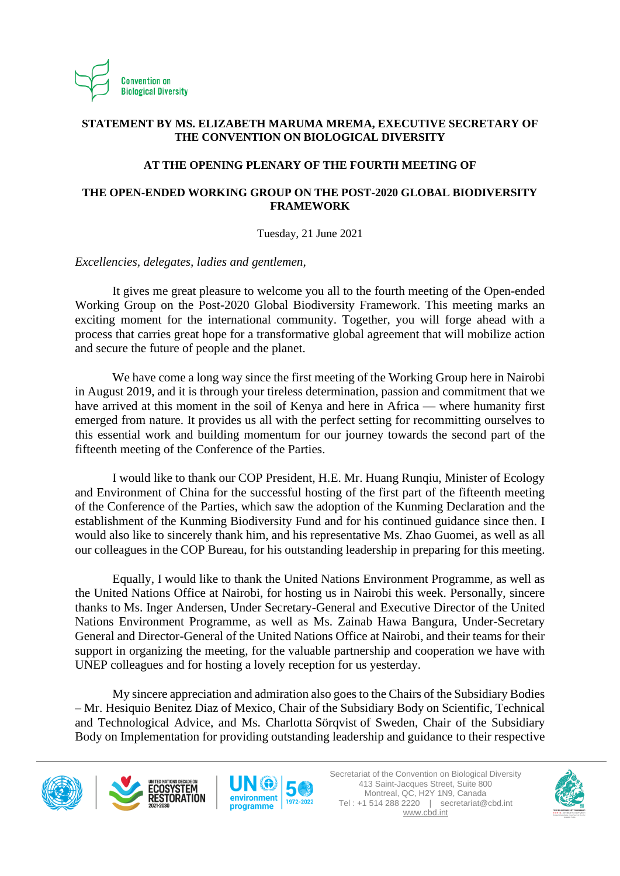

# **STATEMENT BY MS. ELIZABETH MARUMA MREMA, EXECUTIVE SECRETARY OF THE CONVENTION ON BIOLOGICAL DIVERSITY**

## **AT THE OPENING PLENARY OF THE FOURTH MEETING OF**

# **THE OPEN-ENDED WORKING GROUP ON THE POST-2020 GLOBAL BIODIVERSITY FRAMEWORK**

## Tuesday, 21 June 2021

*Excellencies, delegates, ladies and gentlemen,*

It gives me great pleasure to welcome you all to the fourth meeting of the Open-ended Working Group on the Post-2020 Global Biodiversity Framework. This meeting marks an exciting moment for the international community. Together, you will forge ahead with a process that carries great hope for a transformative global agreement that will mobilize action and secure the future of people and the planet.

We have come a long way since the first meeting of the Working Group here in Nairobi in August 2019, and it is through your tireless determination, passion and commitment that we have arrived at this moment in the soil of Kenya and here in Africa — where humanity first emerged from nature. It provides us all with the perfect setting for recommitting ourselves to this essential work and building momentum for our journey towards the second part of the fifteenth meeting of the Conference of the Parties.

I would like to thank our COP President, H.E. Mr. Huang Runqiu, Minister of Ecology and Environment of China for the successful hosting of the first part of the fifteenth meeting of the Conference of the Parties, which saw the adoption of the Kunming Declaration and the establishment of the Kunming Biodiversity Fund and for his continued guidance since then. I would also like to sincerely thank him, and his representative Ms. Zhao Guomei, as well as all our colleagues in the COP Bureau, for his outstanding leadership in preparing for this meeting.

Equally, I would like to thank the United Nations Environment Programme, as well as the United Nations Office at Nairobi, for hosting us in Nairobi this week. Personally, sincere thanks to Ms. Inger Andersen, Under Secretary-General and Executive Director of the United Nations Environment Programme, as well as Ms. Zainab Hawa Bangura, Under-Secretary General and Director-General of the United Nations Office at Nairobi, and their teams for their support in organizing the meeting, for the valuable partnership and cooperation we have with UNEP colleagues and for hosting a lovely reception for us yesterday.

My sincere appreciation and admiration also goesto the Chairs of the Subsidiary Bodies – Mr. Hesiquio Benitez Diaz of Mexico, Chair of the Subsidiary Body on Scientific, Technical and Technological Advice, and Ms. Charlotta Sörqvist of Sweden, Chair of the Subsidiary Body on Implementation for providing outstanding leadership and guidance to their respective







Secretariat of the Convention on Biological Diversity 413 Saint-Jacques Street, Suite 800 Montreal, QC, H2Y 1N9, Canada Tel : +1 514 288 2220 | secretariat@cbd.int [www.cbd.int](http://www.cbd.int/)

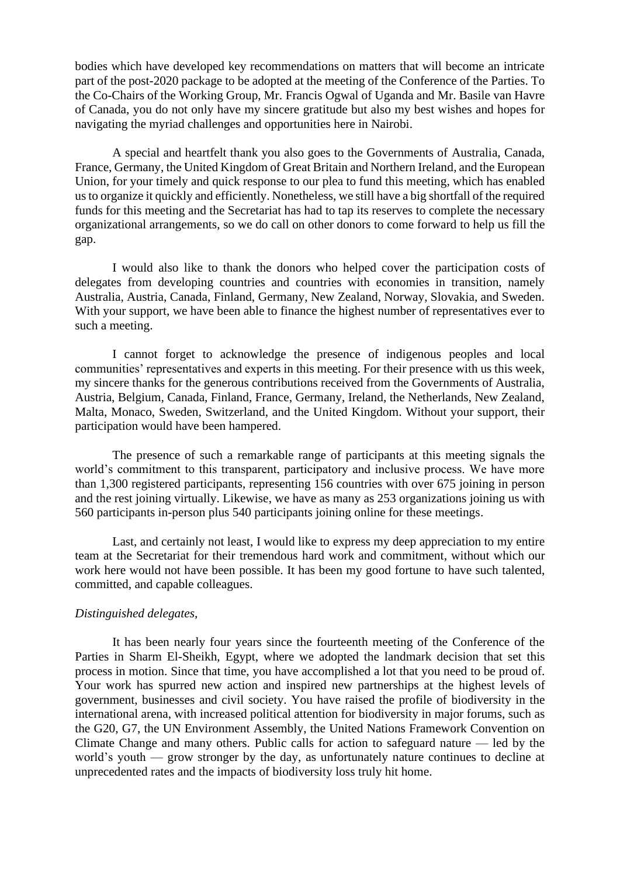bodies which have developed key recommendations on matters that will become an intricate part of the post-2020 package to be adopted at the meeting of the Conference of the Parties. To the Co-Chairs of the Working Group, Mr. Francis Ogwal of Uganda and Mr. Basile van Havre of Canada, you do not only have my sincere gratitude but also my best wishes and hopes for navigating the myriad challenges and opportunities here in Nairobi.

A special and heartfelt thank you also goes to the Governments of Australia, Canada, France, Germany, the United Kingdom of Great Britain and Northern Ireland, and the European Union, for your timely and quick response to our plea to fund this meeting, which has enabled us to organize it quickly and efficiently. Nonetheless, we still have a big shortfall of the required funds for this meeting and the Secretariat has had to tap its reserves to complete the necessary organizational arrangements, so we do call on other donors to come forward to help us fill the gap.

I would also like to thank the donors who helped cover the participation costs of delegates from developing countries and countries with economies in transition, namely Australia, Austria, Canada, Finland, Germany, New Zealand, Norway, Slovakia, and Sweden. With your support, we have been able to finance the highest number of representatives ever to such a meeting.

I cannot forget to acknowledge the presence of indigenous peoples and local communities' representatives and experts in this meeting. For their presence with us this week, my sincere thanks for the generous contributions received from the Governments of Australia, Austria, Belgium, Canada, Finland, France, Germany, Ireland, the Netherlands, New Zealand, Malta, Monaco, Sweden, Switzerland, and the United Kingdom. Without your support, their participation would have been hampered.

The presence of such a remarkable range of participants at this meeting signals the world's commitment to this transparent, participatory and inclusive process. We have more than 1,300 registered participants, representing 156 countries with over 675 joining in person and the rest joining virtually. Likewise, we have as many as 253 organizations joining us with 560 participants in-person plus 540 participants joining online for these meetings.

Last, and certainly not least, I would like to express my deep appreciation to my entire team at the Secretariat for their tremendous hard work and commitment, without which our work here would not have been possible. It has been my good fortune to have such talented, committed, and capable colleagues.

#### *Distinguished delegates,*

It has been nearly four years since the fourteenth meeting of the Conference of the Parties in Sharm El-Sheikh, Egypt, where we adopted the landmark decision that set this process in motion. Since that time, you have accomplished a lot that you need to be proud of. Your work has spurred new action and inspired new partnerships at the highest levels of government, businesses and civil society. You have raised the profile of biodiversity in the international arena, with increased political attention for biodiversity in major forums, such as the G20, G7, the UN Environment Assembly, the United Nations Framework Convention on Climate Change and many others. Public calls for action to safeguard nature — led by the world's youth — grow stronger by the day, as unfortunately nature continues to decline at unprecedented rates and the impacts of biodiversity loss truly hit home.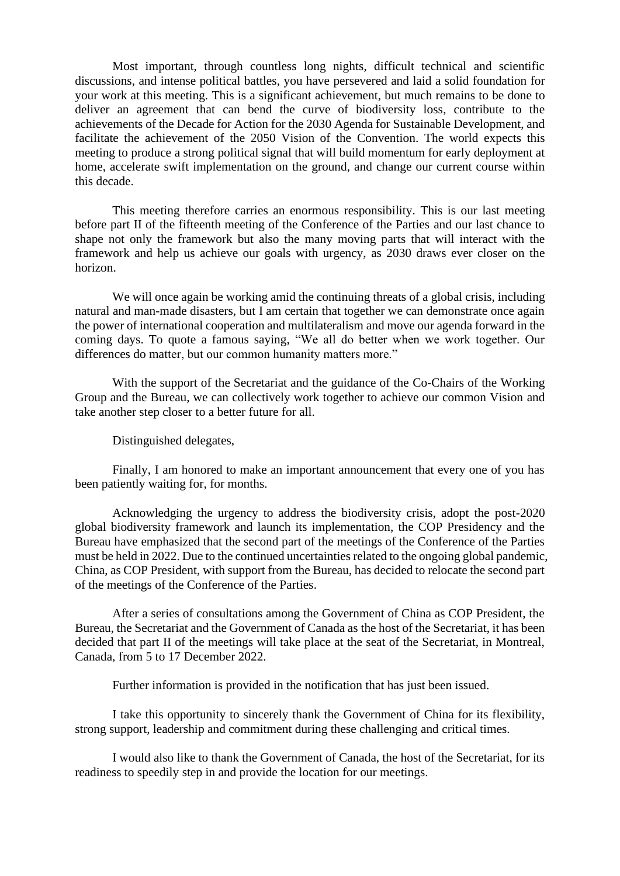Most important, through countless long nights, difficult technical and scientific discussions, and intense political battles, you have persevered and laid a solid foundation for your work at this meeting. This is a significant achievement, but much remains to be done to deliver an agreement that can bend the curve of biodiversity loss, contribute to the achievements of the Decade for Action for the 2030 Agenda for Sustainable Development, and facilitate the achievement of the 2050 Vision of the Convention. The world expects this meeting to produce a strong political signal that will build momentum for early deployment at home, accelerate swift implementation on the ground, and change our current course within this decade.

This meeting therefore carries an enormous responsibility. This is our last meeting before part II of the fifteenth meeting of the Conference of the Parties and our last chance to shape not only the framework but also the many moving parts that will interact with the framework and help us achieve our goals with urgency, as 2030 draws ever closer on the horizon.

We will once again be working amid the continuing threats of a global crisis, including natural and man-made disasters, but I am certain that together we can demonstrate once again the power of international cooperation and multilateralism and move our agenda forward in the coming days. To quote a famous saying, "We all do better when we work together. Our differences do matter, but our common humanity matters more."

With the support of the Secretariat and the guidance of the Co-Chairs of the Working Group and the Bureau, we can collectively work together to achieve our common Vision and take another step closer to a better future for all.

Distinguished delegates,

Finally, I am honored to make an important announcement that every one of you has been patiently waiting for, for months.

Acknowledging the urgency to address the biodiversity crisis, adopt the post-2020 global biodiversity framework and launch its implementation, the COP Presidency and the Bureau have emphasized that the second part of the meetings of the Conference of the Parties must be held in 2022. Due to the continued uncertainties related to the ongoing global pandemic, China, as COP President, with support from the Bureau, has decided to relocate the second part of the meetings of the Conference of the Parties.

After a series of consultations among the Government of China as COP President, the Bureau, the Secretariat and the Government of Canada as the host of the Secretariat, it has been decided that part II of the meetings will take place at the seat of the Secretariat, in Montreal, Canada, from 5 to 17 December 2022.

Further information is provided in the notification that has just been issued.

I take this opportunity to sincerely thank the Government of China for its flexibility, strong support, leadership and commitment during these challenging and critical times.

I would also like to thank the Government of Canada, the host of the Secretariat, for its readiness to speedily step in and provide the location for our meetings.